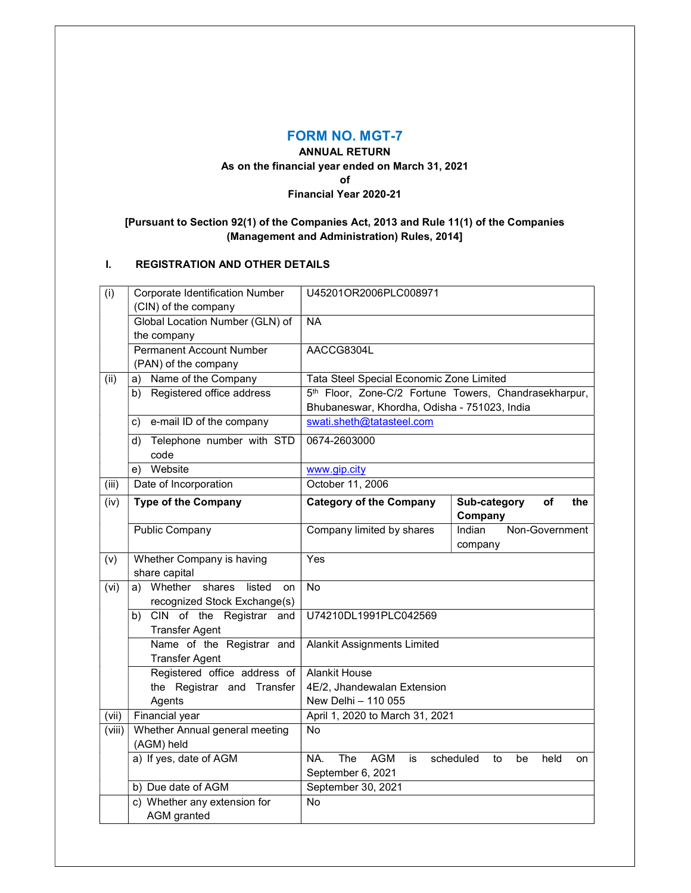## FORM NO. MGT-7

# ANNUAL RETURN As on the financial year ended on March 31, 2021

of

## Financial Year 2020-21

# [Pursuant to Section 92(1) of the Companies Act, 2013 and Rule 11(1) of the Companies (Management and Administration) Rules, 2014]

# I. REGISTRATION AND OTHER DETAILS

| (i)    | <b>Corporate Identification Number</b>       | U45201OR2006PLC008971                                 |                               |  |  |  |
|--------|----------------------------------------------|-------------------------------------------------------|-------------------------------|--|--|--|
|        | (CIN) of the company                         |                                                       |                               |  |  |  |
|        | Global Location Number (GLN) of              | <b>NA</b>                                             |                               |  |  |  |
|        | the company                                  |                                                       |                               |  |  |  |
|        | <b>Permanent Account Number</b>              | AACCG8304L                                            |                               |  |  |  |
|        | (PAN) of the company                         |                                                       |                               |  |  |  |
| (ii)   | a) Name of the Company                       | Tata Steel Special Economic Zone Limited              |                               |  |  |  |
|        | Registered office address<br>b)              | 5th Floor, Zone-C/2 Fortune Towers, Chandrasekharpur, |                               |  |  |  |
|        |                                              | Bhubaneswar, Khordha, Odisha - 751023, India          |                               |  |  |  |
|        | e-mail ID of the company<br>c)               | swati.sheth@tatasteel.com                             |                               |  |  |  |
|        | Telephone number with STD<br>d)              | 0674-2603000                                          |                               |  |  |  |
|        | code                                         |                                                       |                               |  |  |  |
|        | Website<br>e)                                | www.gip.city                                          |                               |  |  |  |
| (iii)  | Date of Incorporation                        | October 11, 2006                                      |                               |  |  |  |
| (iv)   | <b>Type of the Company</b>                   | <b>Category of the Company</b>                        | Sub-category<br>of<br>the     |  |  |  |
|        |                                              |                                                       | Company                       |  |  |  |
|        | Public Company                               | Company limited by shares                             | Indian<br>Non-Government      |  |  |  |
|        |                                              |                                                       | company                       |  |  |  |
| (v)    | Whether Company is having                    | Yes                                                   |                               |  |  |  |
|        | share capital                                |                                                       |                               |  |  |  |
| (vi)   | a) Whether<br>shares<br>listed<br>on         | No                                                    |                               |  |  |  |
|        | recognized Stock Exchange(s)                 |                                                       |                               |  |  |  |
|        | b) CIN of the Registrar and                  | U74210DL1991PLC042569                                 |                               |  |  |  |
|        | <b>Transfer Agent</b>                        |                                                       |                               |  |  |  |
|        | Name of the Registrar and                    | <b>Alankit Assignments Limited</b>                    |                               |  |  |  |
|        | <b>Transfer Agent</b>                        |                                                       |                               |  |  |  |
|        | Registered office address of                 | <b>Alankit House</b>                                  |                               |  |  |  |
|        | the Registrar and Transfer                   | 4E/2, Jhandewalan Extension                           |                               |  |  |  |
|        | Agents                                       | New Delhi - 110 055                                   |                               |  |  |  |
| (vii)  | Financial year                               | April 1, 2020 to March 31, 2021                       |                               |  |  |  |
| (viii) | Whether Annual general meeting<br>(AGM) held | No                                                    |                               |  |  |  |
|        | a) If yes, date of AGM                       | NA.<br>The<br><b>AGM</b><br>is                        | scheduled<br>to<br>be<br>held |  |  |  |
|        |                                              | September 6, 2021                                     | on                            |  |  |  |
|        | b) Due date of AGM                           | September 30, 2021                                    |                               |  |  |  |
|        | c) Whether any extension for                 | No                                                    |                               |  |  |  |
|        | <b>AGM</b> granted                           |                                                       |                               |  |  |  |
|        |                                              |                                                       |                               |  |  |  |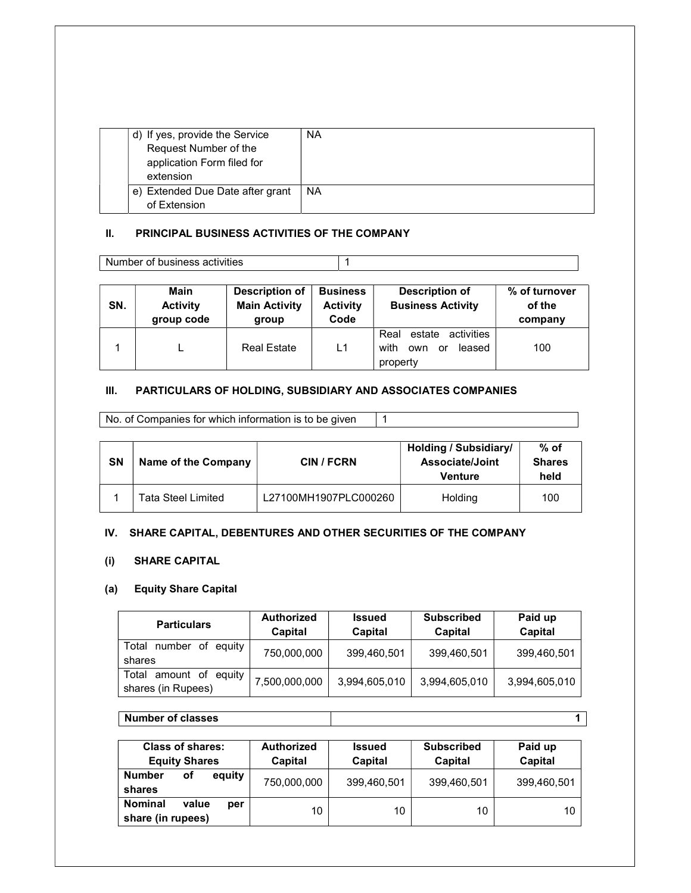| d) If yes, provide the Service      | <b>NA</b> |
|-------------------------------------|-----------|
| Request Number of the               |           |
| application Form filed for          |           |
| extension                           |           |
| Extended Due Date after grant<br>e) | <b>NA</b> |
| of Extension                        |           |

### II. PRINCIPAL BUSINESS ACTIVITIES OF THE COMPANY

| Number of business activities |                       |                                                 |                                  |                                           |                          |
|-------------------------------|-----------------------|-------------------------------------------------|----------------------------------|-------------------------------------------|--------------------------|
|                               |                       |                                                 |                                  |                                           |                          |
| <b>CNI</b>                    | Main<br>$A = 41.74.7$ | <b>Description of</b><br><b>Basic Astrollis</b> | <b>Business</b><br>$A = 41.74.7$ | <b>Description of</b><br>Dualazza Asthitu | % of turnover<br>$-11 -$ |

| SN. | <b>Activity</b><br>group code | <b>Main Activity</b><br>aroup | <b>Activity</b><br>Code | <b>Business Activity</b>                                             | of the<br>company |
|-----|-------------------------------|-------------------------------|-------------------------|----------------------------------------------------------------------|-------------------|
|     |                               | <b>Real Estate</b>            | L1                      | estate activities<br>Real<br>with<br>leased<br>own<br>or<br>property | 100               |

### III. PARTICULARS OF HOLDING, SUBSIDIARY AND ASSOCIATES COMPANIES

No. of Companies for which information is to be given 1

| SΝ | Name of the Company | <b>CIN / FCRN</b>     | <b>Holding / Subsidiary/</b><br>Associate/Joint<br><b>Venture</b> | % of<br><b>Shares</b><br>held |
|----|---------------------|-----------------------|-------------------------------------------------------------------|-------------------------------|
|    | Tata Steel Limited  | L27100MH1907PLC000260 | Holding                                                           | 100                           |

### IV. SHARE CAPITAL, DEBENTURES AND OTHER SECURITIES OF THE COMPANY

## (i) SHARE CAPITAL

### (a) Equity Share Capital

| <b>Particulars</b>                           | <b>Authorized</b><br>Capital | <b>Issued</b><br>Capital | <b>Subscribed</b><br>Capital | Paid up<br>Capital |  |
|----------------------------------------------|------------------------------|--------------------------|------------------------------|--------------------|--|
| Total number<br>оf<br>eauitv<br>shares       | 750,000,000                  | 399,460,501              | 399,460,501                  | 399,460,501        |  |
| Total amount of equity<br>shares (in Rupees) | 7,500,000,000                | 3,994,605,010            | 3,994,605,010                | 3,994,605,010      |  |

### Number of classes 1

| <b>Class of shares:</b><br><b>Equity Shares</b>     | <b>Authorized</b><br>Capital | <b>Issued</b><br>Capital | <b>Subscribed</b><br>Capital | Paid up<br>Capital |
|-----------------------------------------------------|------------------------------|--------------------------|------------------------------|--------------------|
| equity<br><b>Number</b><br>οf<br>shares             | 750,000,000                  | 399,460,501              | 399,460,501                  | 399,460,501        |
| <b>Nominal</b><br>value<br>per<br>share (in rupees) | 10                           | 10                       | 10                           | 10                 |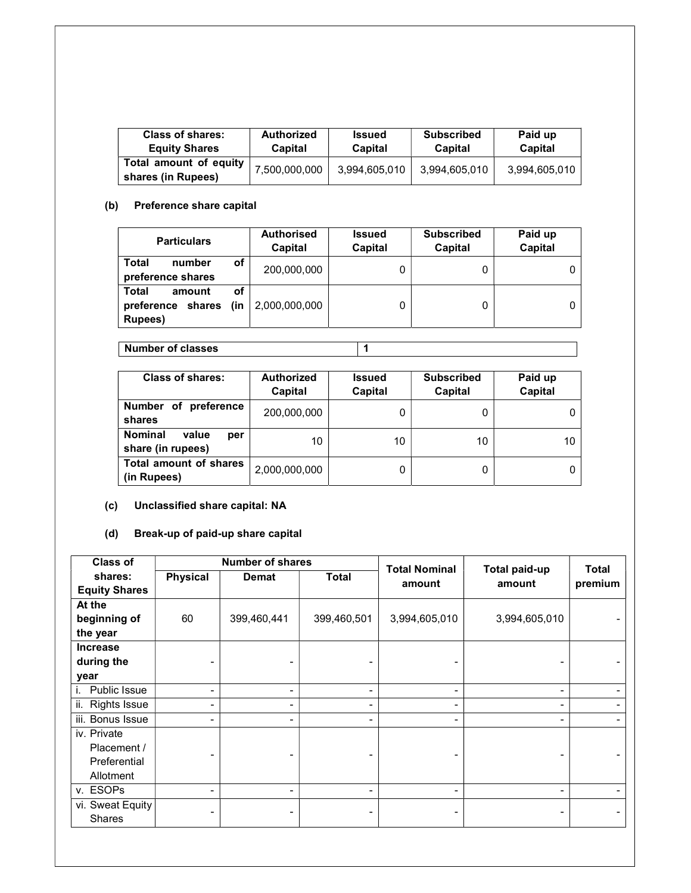| Class of shares:                             | Authorized    | <b>Issued</b> | <b>Subscribed</b> | Paid up       |
|----------------------------------------------|---------------|---------------|-------------------|---------------|
| <b>Equity Shares</b>                         | Capital       | Capital       | Capital           | Capital       |
| Total amount of equity<br>shares (in Rupees) | 7,500,000,000 | 3,994,605,010 | 3,994,605,010     | 3,994,605,010 |

### (b) Preference share capital

| <b>Particulars</b>                                     |           | <b>Authorised</b><br>Capital | <b>Issued</b><br>Capital | <b>Subscribed</b><br>Capital | Paid up<br>Capital |
|--------------------------------------------------------|-----------|------------------------------|--------------------------|------------------------------|--------------------|
| Total<br>number<br>preference shares                   | οf        | 200,000,000                  |                          |                              |                    |
| <b>Total</b><br>amount<br>preference shares<br>Rupees) | οf<br>(in | 2,000,000,000                | 0                        |                              |                    |

Number of classes 1

| Class of shares:                                    | <b>Authorized</b><br>Capital | Issued<br>Capital | <b>Subscribed</b><br>Capital | Paid up<br>Capital |
|-----------------------------------------------------|------------------------------|-------------------|------------------------------|--------------------|
| Number of<br>preference<br>shares                   | 200,000,000                  |                   |                              |                    |
| <b>Nominal</b><br>value<br>per<br>share (in rupees) | 10                           | 10                | 10                           | 10                 |
| <b>Total amount of shares</b><br>(in Rupees)        | 2,000,000,000                | 0                 |                              |                    |

# (c) Unclassified share capital: NA

(d) Break-up of paid-up share capital

| <b>Class of</b>            |                 | <b>Number of shares</b> |                          | <b>Total Nominal</b>     | <b>Total paid-up</b> | <b>Total</b> |
|----------------------------|-----------------|-------------------------|--------------------------|--------------------------|----------------------|--------------|
| shares:                    | <b>Physical</b> | <b>Demat</b>            | <b>Total</b>             | amount                   | amount               | premium      |
| <b>Equity Shares</b>       |                 |                         |                          |                          |                      |              |
| At the                     |                 |                         |                          |                          |                      |              |
| beginning of               | 60              | 399,460,441             | 399,460,501              | 3,994,605,010            | 3,994,605,010        |              |
| the year                   |                 |                         |                          |                          |                      |              |
| <b>Increase</b>            |                 |                         |                          |                          |                      |              |
| during the                 |                 |                         | -                        |                          |                      |              |
| year                       |                 |                         |                          |                          |                      |              |
| Public Issue               | -               |                         | $\overline{\phantom{a}}$ | $\overline{\phantom{0}}$ | ۰                    |              |
| <b>Rights Issue</b><br>ii. | -               |                         | Ξ.                       | -                        | -                    |              |
| iii. Bonus Issue           | -               |                         | $\blacksquare$           | -                        | -                    |              |
| iv. Private                |                 |                         |                          |                          |                      |              |
| Placement /                |                 |                         | -                        |                          |                      |              |
| Preferential               |                 |                         |                          |                          |                      |              |
| Allotment                  |                 |                         |                          |                          |                      |              |
| v. ESOPs                   | -               | -                       | ۰                        | -                        | -                    |              |
| vi. Sweat Equity           |                 |                         |                          |                          |                      |              |
| Shares                     |                 |                         |                          |                          |                      |              |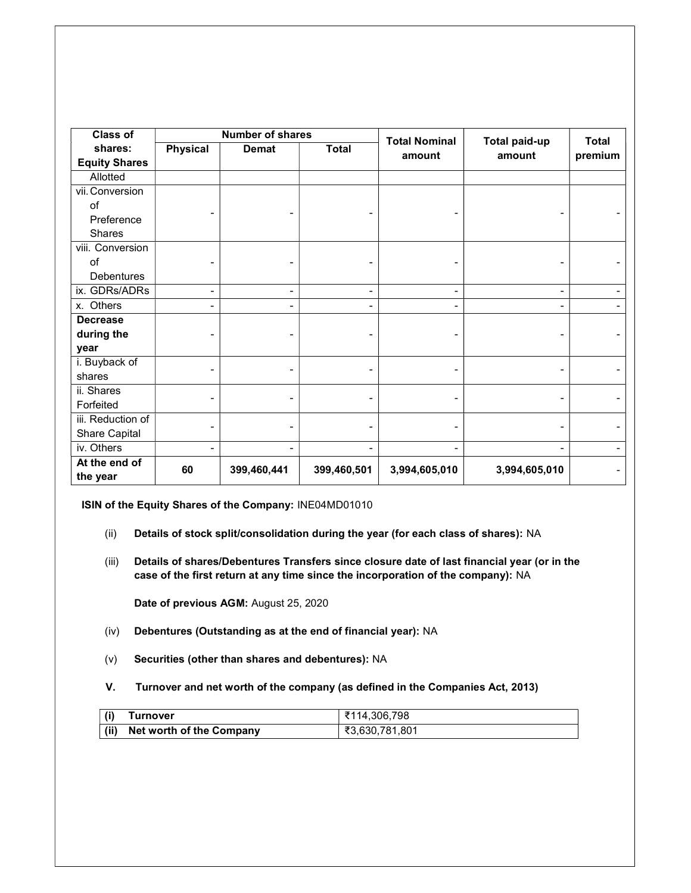| <b>Class of</b>           |                 | <b>Number of shares</b> |                          | <b>Total Nominal</b> |                                | <b>Total</b> |
|---------------------------|-----------------|-------------------------|--------------------------|----------------------|--------------------------------|--------------|
| shares:                   | <b>Physical</b> | <b>Demat</b>            | <b>Total</b>             | amount               | <b>Total paid-up</b><br>amount |              |
| <b>Equity Shares</b>      |                 |                         |                          |                      |                                | premium      |
| Allotted                  |                 |                         |                          |                      |                                |              |
| vii. Conversion           |                 |                         |                          |                      |                                |              |
| of                        |                 |                         |                          |                      |                                |              |
| Preference                |                 |                         |                          |                      |                                |              |
| <b>Shares</b>             |                 |                         |                          |                      |                                |              |
| viii. Conversion          |                 |                         |                          |                      |                                |              |
| of                        |                 |                         |                          |                      |                                |              |
| <b>Debentures</b>         |                 |                         |                          |                      |                                |              |
| ix. GDRs/ADRs             | ۰               | -                       | $\overline{\phantom{a}}$ | $\blacksquare$       | -                              |              |
| x. Others                 |                 |                         | ٠                        |                      |                                |              |
| <b>Decrease</b>           |                 |                         |                          |                      |                                |              |
| during the                |                 |                         | -                        |                      |                                |              |
| year                      |                 |                         |                          |                      |                                |              |
| i. Buyback of             |                 |                         |                          |                      |                                |              |
| shares                    |                 |                         |                          |                      |                                |              |
| ii. Shares                |                 |                         |                          |                      |                                |              |
| Forfeited                 |                 |                         |                          |                      |                                |              |
| iii. Reduction of         |                 |                         |                          |                      |                                |              |
| Share Capital             |                 |                         |                          |                      |                                |              |
| iv. Others                |                 |                         | $\blacksquare$           |                      |                                |              |
| At the end of<br>the year | 60              | 399,460,441             | 399,460,501              | 3,994,605,010        | 3,994,605,010                  |              |

ISIN of the Equity Shares of the Company: INE04MD01010

- (ii) Details of stock split/consolidation during the year (for each class of shares): NA
- (iii) Details of shares/Debentures Transfers since closure date of last financial year (or in the case of the first return at any time since the incorporation of the company): NA

Date of previous AGM: August 25, 2020

- (iv) Debentures (Outstanding as at the end of financial year): NA
- (v) Securities (other than shares and debentures): NA
- V. Turnover and net worth of the company (as defined in the Companies Act, 2013)

| (i)          | Turnover                        | ₹114,306,798   |
|--------------|---------------------------------|----------------|
| $\vert$ (ii) | <b>Net worth of the Company</b> | ₹3,630,781,801 |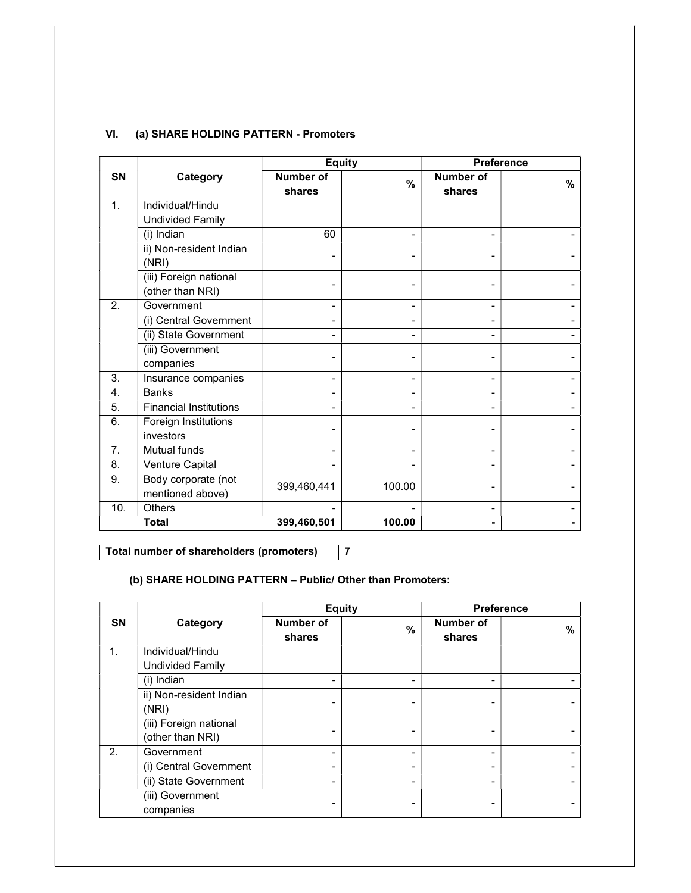### VI. (a) SHARE HOLDING PATTERN - Promoters

|           |                                            | <b>Equity</b>                |                | <b>Preference</b>          |      |
|-----------|--------------------------------------------|------------------------------|----------------|----------------------------|------|
| <b>SN</b> | Category                                   | <b>Number of</b><br>shares   | $\%$           | <b>Number of</b><br>shares | $\%$ |
| 1.        | Individual/Hindu                           |                              |                |                            |      |
|           | <b>Undivided Family</b>                    |                              |                |                            |      |
|           | (i) Indian                                 | 60                           | $\blacksquare$ |                            |      |
|           | ii) Non-resident Indian<br>(NRI)           |                              |                |                            |      |
|           | (iii) Foreign national<br>(other than NRI) |                              |                |                            |      |
| 2.        | Government                                 | $\blacksquare$               | $\blacksquare$ |                            |      |
|           | (i) Central Government                     | -                            | $\blacksquare$ |                            |      |
|           | (ii) State Government                      |                              |                |                            |      |
|           | (iii) Government<br>companies              |                              |                |                            |      |
| 3.        | Insurance companies                        | -                            | $\blacksquare$ |                            |      |
| 4.        | <b>Banks</b>                               | $\qquad \qquad \blacksquare$ | -              |                            |      |
| 5.        | <b>Financial Institutions</b>              | $\blacksquare$               | $\blacksquare$ |                            |      |
| 6.        | Foreign Institutions<br>investors          |                              |                |                            |      |
| 7.        | <b>Mutual funds</b>                        | $\blacksquare$               | $\blacksquare$ |                            |      |
| 8.        | Venture Capital                            |                              |                |                            |      |
| 9.        | Body corporate (not<br>mentioned above)    | 399,460,441                  | 100.00         |                            |      |
| 10.       | Others                                     |                              |                |                            |      |
|           | <b>Total</b>                               | 399,460,501                  | 100.00         |                            |      |

Total number of shareholders (promoters) 7

# (b) SHARE HOLDING PATTERN – Public/ Other than Promoters:

|           |                         | <b>Equity</b>       |               |                     | <b>Preference</b> |
|-----------|-------------------------|---------------------|---------------|---------------------|-------------------|
| <b>SN</b> | Category                | Number of<br>shares | $\frac{0}{0}$ | Number of<br>shares | $\%$              |
| 1.        | Individual/Hindu        |                     |               |                     |                   |
|           | <b>Undivided Family</b> |                     |               |                     |                   |
|           | (i) Indian              |                     |               |                     |                   |
|           | ii) Non-resident Indian |                     |               |                     |                   |
|           | (NRI)                   |                     |               |                     |                   |
|           | (iii) Foreign national  |                     |               |                     |                   |
|           | (other than NRI)        |                     |               |                     |                   |
| 2.        | Government              | $\blacksquare$      | ۰             |                     |                   |
|           | (i) Central Government  | -                   | -             |                     |                   |
|           | (ii) State Government   |                     | -             |                     |                   |
|           | (iii) Government        |                     |               |                     |                   |
|           | companies               |                     |               |                     |                   |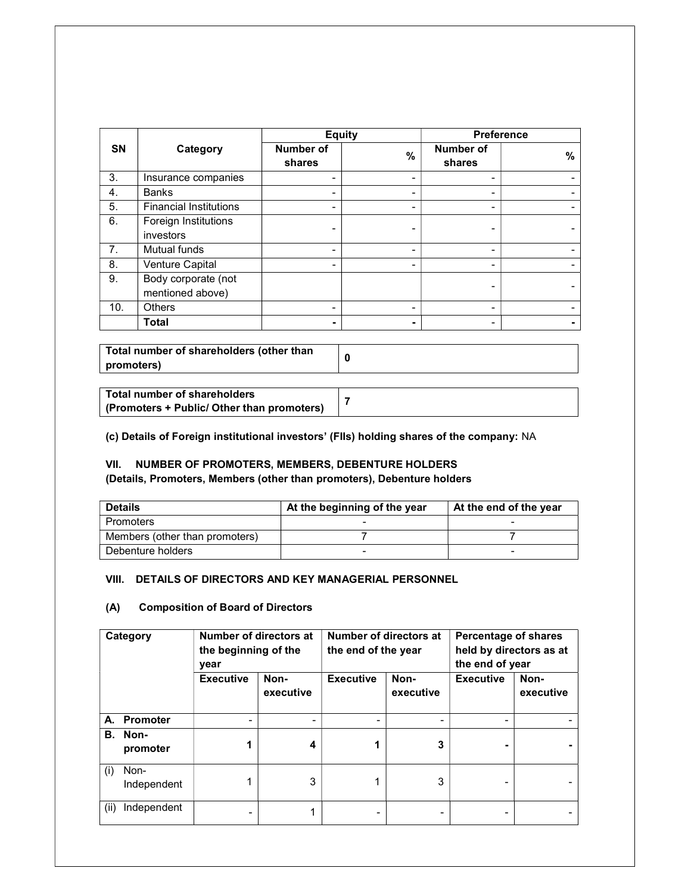|           |                                         | <b>Equity</b>       |                          | <b>Preference</b>   |   |
|-----------|-----------------------------------------|---------------------|--------------------------|---------------------|---|
| <b>SN</b> | Category                                | Number of<br>shares | $\%$                     | Number of<br>shares | % |
| 3.        | Insurance companies                     | -                   | -                        |                     |   |
| 4.        | <b>Banks</b>                            |                     | -                        |                     |   |
| 5.        | <b>Financial Institutions</b>           | -                   | -                        |                     |   |
| 6.        | Foreign Institutions<br>investors       |                     | -                        |                     |   |
| 7.        | Mutual funds                            | -                   | -                        | -                   |   |
| 8.        | Venture Capital                         |                     |                          |                     |   |
| 9.        | Body corporate (not<br>mentioned above) |                     |                          |                     |   |
| 10.       | <b>Others</b>                           | -                   | -                        |                     |   |
|           | Total                                   |                     | $\overline{\phantom{0}}$ | -                   |   |

Total number of shareholders (other than promoters) <sup>0</sup>

| Total number of shareholders               |  |
|--------------------------------------------|--|
| (Promoters + Public/ Other than promoters) |  |

(c) Details of Foreign institutional investors' (FIIs) holding shares of the company: NA

## VII. NUMBER OF PROMOTERS, MEMBERS, DEBENTURE HOLDERS

(Details, Promoters, Members (other than promoters), Debenture holders

| <b>Details</b>                 | At the beginning of the year | At the end of the year |
|--------------------------------|------------------------------|------------------------|
| Promoters                      |                              |                        |
| Members (other than promoters) |                              |                        |
| Debenture holders              |                              | -                      |

## VIII. DETAILS OF DIRECTORS AND KEY MANAGERIAL PERSONNEL

### (A) Composition of Board of Directors

| Category |                     | Number of directors at<br>the beginning of the<br>year |                   | Number of directors at<br>the end of the year |                   | <b>Percentage of shares</b><br>held by directors as at<br>the end of year |                   |
|----------|---------------------|--------------------------------------------------------|-------------------|-----------------------------------------------|-------------------|---------------------------------------------------------------------------|-------------------|
|          |                     | <b>Executive</b>                                       | Non-<br>executive | <b>Executive</b>                              | Non-<br>executive | <b>Executive</b>                                                          | Non-<br>executive |
|          | A. Promoter         | -                                                      |                   |                                               |                   |                                                                           |                   |
| В.       | Non-<br>promoter    |                                                        | 4                 |                                               | 3                 |                                                                           |                   |
| (i)      | Non-<br>Independent |                                                        | 3                 |                                               | 3                 |                                                                           |                   |
| (ii)     | Independent         |                                                        |                   |                                               |                   |                                                                           |                   |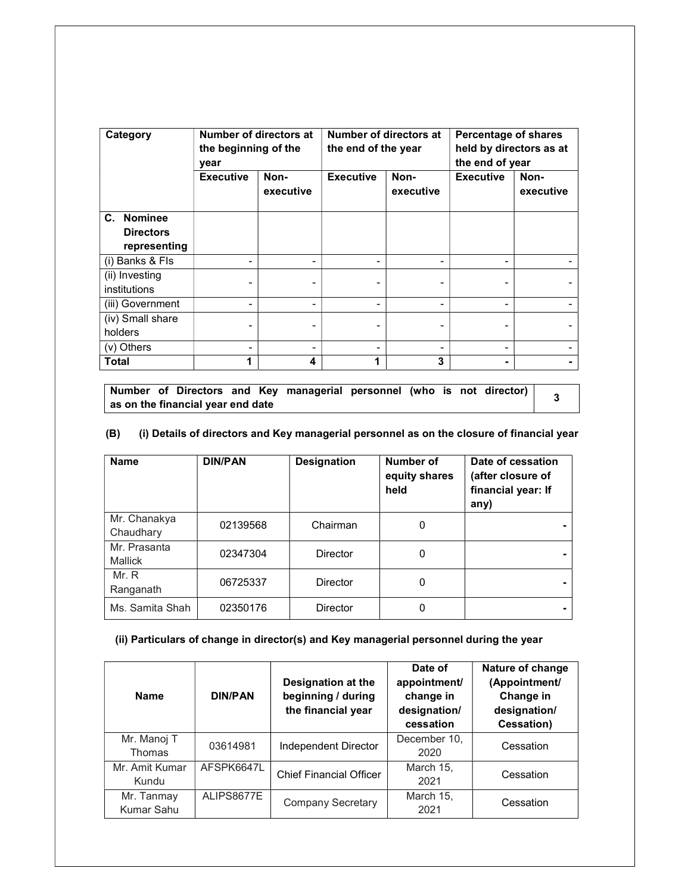| Category         | year             | Number of directors at<br>the beginning of the |                  | Number of directors at<br>the end of the year |                  | <b>Percentage of shares</b><br>held by directors as at<br>the end of year |  |
|------------------|------------------|------------------------------------------------|------------------|-----------------------------------------------|------------------|---------------------------------------------------------------------------|--|
|                  | <b>Executive</b> | Non-<br>executive                              | <b>Executive</b> | Non-<br>executive                             | <b>Executive</b> | Non-<br>executive                                                         |  |
| C. Nominee       |                  |                                                |                  |                                               |                  |                                                                           |  |
| <b>Directors</b> |                  |                                                |                  |                                               |                  |                                                                           |  |
| representing     |                  |                                                |                  |                                               |                  |                                                                           |  |
| (i) Banks & Fls  |                  |                                                |                  |                                               |                  |                                                                           |  |
| (ii) Investing   |                  |                                                |                  |                                               |                  |                                                                           |  |
| institutions     |                  |                                                |                  |                                               |                  |                                                                           |  |
| (iii) Government |                  |                                                |                  |                                               |                  |                                                                           |  |
| (iv) Small share |                  |                                                |                  |                                               |                  |                                                                           |  |
| holders          |                  |                                                |                  |                                               |                  |                                                                           |  |
| (v) Others       |                  |                                                |                  |                                               |                  |                                                                           |  |
| Total            |                  | 4                                              |                  | 3                                             |                  |                                                                           |  |

Number of Directors and Key managerial personnel (who is not director) Number or Directors and Ney managerial personnel (who is not director)  $\frac{3}{3}$ 

# (B) (i) Details of directors and Key managerial personnel as on the closure of financial year

| <b>Name</b>                    | <b>DIN/PAN</b> | <b>Designation</b> | Number of<br>equity shares<br>held | Date of cessation<br>(after closure of<br>financial year: If<br>any) |
|--------------------------------|----------------|--------------------|------------------------------------|----------------------------------------------------------------------|
| Mr. Chanakya<br>Chaudhary      | 02139568       | Chairman           | 0                                  |                                                                      |
| Mr. Prasanta<br><b>Mallick</b> | 02347304       | Director           | 0                                  |                                                                      |
| Mr. R<br>Ranganath             | 06725337       | Director           | 0                                  |                                                                      |
| Ms. Samita Shah                | 02350176       | Director           | 0                                  |                                                                      |

### (ii) Particulars of change in director(s) and Key managerial personnel during the year

| <b>Name</b>              | <b>DIN/PAN</b> | Designation at the<br>beginning / during<br>the financial year | Date of<br>appointment/<br>change in<br>designation/<br>cessation | Nature of change<br>(Appointment/<br>Change in<br>designation/<br>Cessation) |
|--------------------------|----------------|----------------------------------------------------------------|-------------------------------------------------------------------|------------------------------------------------------------------------------|
| Mr. Manoj T<br>Thomas    | 03614981       | Independent Director                                           | December 10,<br>2020                                              | Cessation                                                                    |
| Mr. Amit Kumar<br>Kundu  | AFSPK6647L     | <b>Chief Financial Officer</b>                                 | March 15,<br>2021                                                 | Cessation                                                                    |
| Mr. Tanmay<br>Kumar Sahu | ALIPS8677E     | Company Secretary                                              | March 15,<br>2021                                                 | Cessation                                                                    |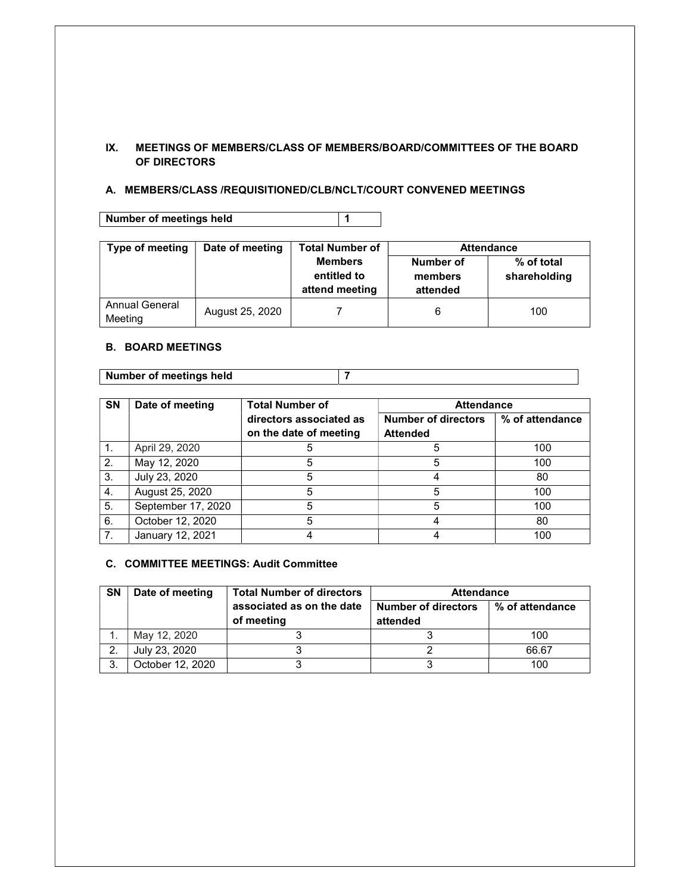### IX. MEETINGS OF MEMBERS/CLASS OF MEMBERS/BOARD/COMMITTEES OF THE BOARD OF DIRECTORS

### A. MEMBERS/CLASS /REQUISITIONED/CLB/NCLT/COURT CONVENED MEETINGS

Number of meetings held 1

| Type of meeting           | Date of meeting | Total Number of                                 | <b>Attendance</b>                |                            |  |
|---------------------------|-----------------|-------------------------------------------------|----------------------------------|----------------------------|--|
|                           |                 | <b>Members</b><br>entitled to<br>attend meeting | Number of<br>members<br>attended | % of total<br>shareholding |  |
| Annual General<br>Meeting | August 25, 2020 |                                                 |                                  | 100                        |  |

### B. BOARD MEETINGS

Number of meetings held 7

| <b>SN</b>      | Date of meeting    | <b>Total Number of</b>  | <b>Attendance</b>          |                 |
|----------------|--------------------|-------------------------|----------------------------|-----------------|
|                |                    | directors associated as | <b>Number of directors</b> | % of attendance |
|                |                    | on the date of meeting  | <b>Attended</b>            |                 |
| $\mathbf{1}$ . | April 29, 2020     | 5                       |                            | 100             |
| 2.             | May 12, 2020       |                         |                            | 100             |
| 3.             | July 23, 2020      | 5                       |                            | 80              |
| 4.             | August 25, 2020    | 5                       | 5                          | 100             |
| 5.             | September 17, 2020 | 5                       |                            | 100             |
| 6.             | October 12, 2020   | 5                       |                            | 80              |
| 7.             | January 12, 2021   |                         |                            | 100             |

### C. COMMITTEE MEETINGS: Audit Committee

| <b>SN</b> | Date of meeting  | <b>Total Number of directors</b> | <b>Attendance</b>          |                 |
|-----------|------------------|----------------------------------|----------------------------|-----------------|
|           |                  | associated as on the date        | <b>Number of directors</b> | % of attendance |
|           |                  | of meeting                       | attended                   |                 |
|           | May 12, 2020     |                                  |                            | 100             |
|           | July 23, 2020    |                                  |                            | 66.67           |
| 3         | October 12, 2020 |                                  |                            | 100             |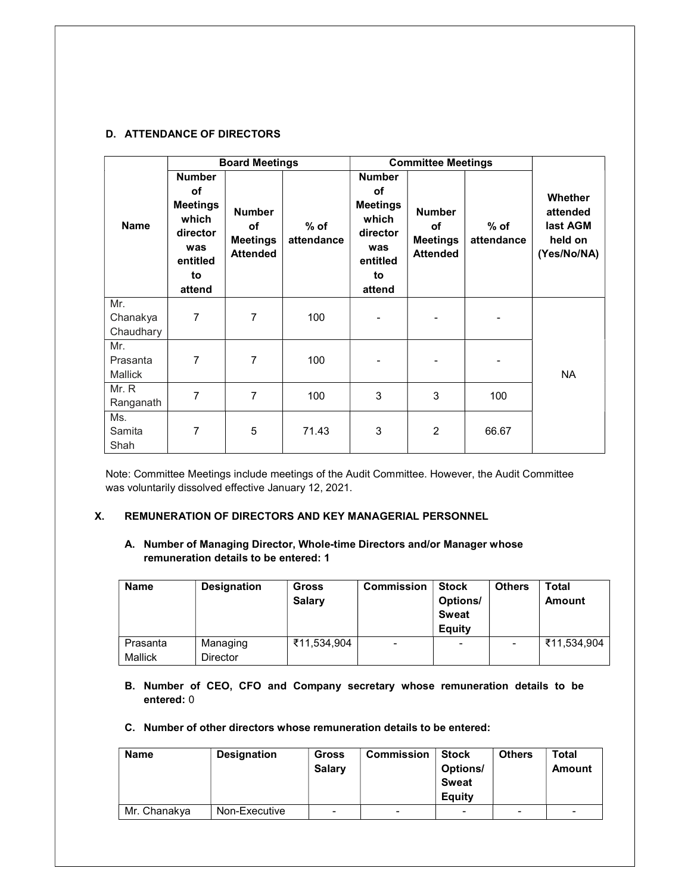### D. ATTENDANCE OF DIRECTORS

|                                   |                                                                                                | <b>Board Meetings</b>                                     |                      |                                                                                                       | <b>Committee Meetings</b>                                 |                      |                                                                  |
|-----------------------------------|------------------------------------------------------------------------------------------------|-----------------------------------------------------------|----------------------|-------------------------------------------------------------------------------------------------------|-----------------------------------------------------------|----------------------|------------------------------------------------------------------|
| <b>Name</b>                       | <b>Number</b><br>οf<br><b>Meetings</b><br>which<br>director<br>was<br>entitled<br>to<br>attend | <b>Number</b><br>of<br><b>Meetings</b><br><b>Attended</b> | $%$ of<br>attendance | <b>Number</b><br><b>of</b><br><b>Meetings</b><br>which<br>director<br>was<br>entitled<br>to<br>attend | <b>Number</b><br>of<br><b>Meetings</b><br><b>Attended</b> | $%$ of<br>attendance | <b>Whether</b><br>attended<br>last AGM<br>held on<br>(Yes/No/NA) |
| Mr.<br>Chanakya<br>Chaudhary      | $\overline{7}$                                                                                 | 7                                                         | 100                  |                                                                                                       |                                                           | -                    |                                                                  |
| Mr.<br>Prasanta<br><b>Mallick</b> | 7                                                                                              | 7                                                         | 100                  |                                                                                                       |                                                           |                      | <b>NA</b>                                                        |
| Mr. R<br>Ranganath                | $\overline{7}$                                                                                 | 7                                                         | 100                  | 3                                                                                                     | 3                                                         | 100                  |                                                                  |
| Ms.<br>Samita<br>Shah             | 7                                                                                              | 5                                                         | 71.43                | 3                                                                                                     | $\overline{2}$                                            | 66.67                |                                                                  |

Note: Committee Meetings include meetings of the Audit Committee. However, the Audit Committee was voluntarily dissolved effective January 12, 2021.

### X. REMUNERATION OF DIRECTORS AND KEY MANAGERIAL PERSONNEL

### A. Number of Managing Director, Whole-time Directors and/or Manager whose remuneration details to be entered: 1

| <b>Name</b>         | <b>Designation</b>          | <b>Gross</b><br><b>Salary</b> | <b>Commission</b> | <b>Stock</b><br>Options/<br><b>Sweat</b><br>Equity | <b>Others</b> | <b>Total</b><br>Amount |
|---------------------|-----------------------------|-------------------------------|-------------------|----------------------------------------------------|---------------|------------------------|
| Prasanta<br>Mallick | Managing<br><b>Director</b> | ₹11,534,904                   | ۰                 |                                                    |               | ₹11,534,904            |

B. Number of CEO, CFO and Company secretary whose remuneration details to be entered: 0

### C. Number of other directors whose remuneration details to be entered:

| <b>Name</b>  | <b>Designation</b> | Gross<br><b>Salary</b> | <b>Commission</b> | <b>Stock</b><br>Options/<br><b>Sweat</b><br>Eauity | <b>Others</b> | Total<br>Amount |
|--------------|--------------------|------------------------|-------------------|----------------------------------------------------|---------------|-----------------|
| Mr. Chanakya | Non-Executive      | -                      | -                 |                                                    | ۰             | ٠               |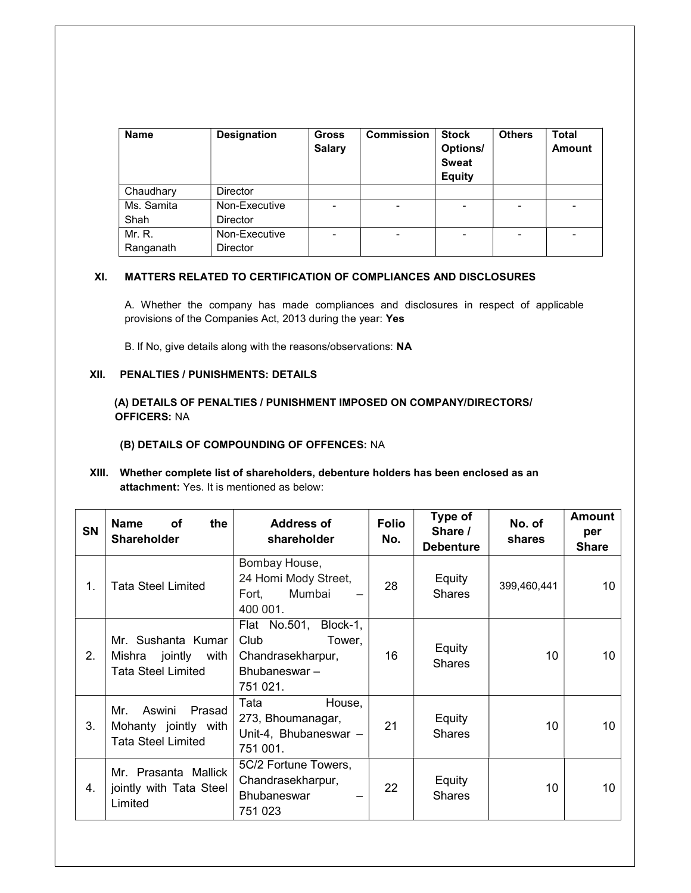| <b>Name</b> | <b>Designation</b> | <b>Gross</b><br><b>Salary</b> | <b>Commission</b> | <b>Stock</b><br>Options/<br><b>Sweat</b><br><b>Equity</b> | <b>Others</b> | <b>Total</b><br><b>Amount</b> |
|-------------|--------------------|-------------------------------|-------------------|-----------------------------------------------------------|---------------|-------------------------------|
| Chaudhary   | <b>Director</b>    |                               |                   |                                                           |               |                               |
| Ms. Samita  | Non-Executive      | -                             | -                 | -                                                         | -             | -                             |
| Shah        | <b>Director</b>    |                               |                   |                                                           |               |                               |
| Mr. R.      | Non-Executive      | $\overline{\phantom{0}}$      |                   | -                                                         |               |                               |
| Ranganath   | <b>Director</b>    |                               |                   |                                                           |               |                               |

### XI. MATTERS RELATED TO CERTIFICATION OF COMPLIANCES AND DISCLOSURES

A. Whether the company has made compliances and disclosures in respect of applicable provisions of the Companies Act, 2013 during the year: Yes

B. lf No, give details along with the reasons/observations: NA

### XII. PENALTIES / PUNISHMENTS: DETAILS

(A) DETAILS OF PENALTIES / PUNISHMENT IMPOSED ON COMPANY/DIRECTORS/ OFFICERS: NA

#### (B) DETAILS OF COMPOUNDING OF OFFENCES: NA

XIII. Whether complete list of shareholders, debenture holders has been enclosed as an attachment: Yes. It is mentioned as below:

| SN             | <b>Name</b><br>οf<br>the<br><b>Shareholder</b>                               | <b>Address of</b><br>shareholder                                                         | <b>Folio</b><br>No. | Type of<br>Share /<br><b>Debenture</b> | No. of<br>shares | Amount<br>per<br><b>Share</b> |
|----------------|------------------------------------------------------------------------------|------------------------------------------------------------------------------------------|---------------------|----------------------------------------|------------------|-------------------------------|
| $\mathbf{1}$ . | <b>Tata Steel Limited</b>                                                    | Bombay House,<br>24 Homi Mody Street,<br>Mumbai<br>Fort,<br>400 001.                     | 28                  | Equity<br><b>Shares</b>                | 399,460,441      | 10                            |
| 2.             | Mr. Sushanta Kumar<br>Mishra jointly with<br>Tata Steel Limited              | Flat No.501, Block-1,<br>Club<br>Tower,<br>Chandrasekharpur,<br>Bhubaneswar-<br>751 021. | 16                  | Equity<br><b>Shares</b>                | 10               | 10                            |
| 3.             | Aswini<br>Mr.<br>Prasad<br>Mohanty jointly with<br><b>Tata Steel Limited</b> | Tata<br>House,<br>273, Bhoumanagar,<br>Unit-4, Bhubaneswar -<br>751 001.                 | 21                  | Equity<br><b>Shares</b>                | 10               | 10                            |
| 4.             | Mr. Prasanta Mallick<br>jointly with Tata Steel<br>Limited                   | 5C/2 Fortune Towers,<br>Chandrasekharpur,<br><b>Bhubaneswar</b><br>751 023               | 22                  | Equity<br><b>Shares</b>                | 10               | 10                            |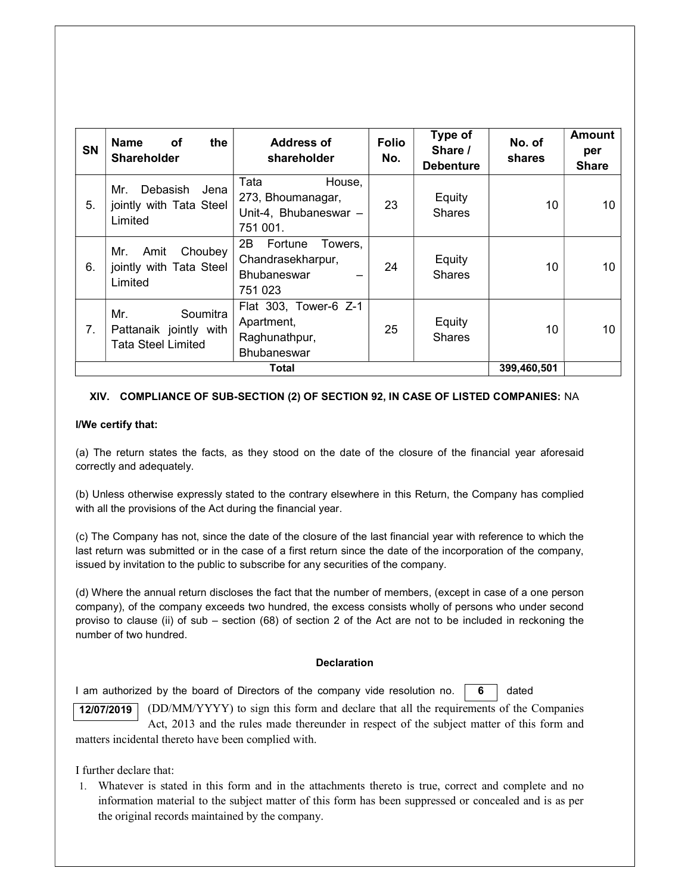| <b>SN</b> | <b>Name</b><br>the<br>оf<br><b>Shareholder</b>                  | Address of<br>shareholder                                                       | <b>Folio</b><br>No. | Type of<br>Share /<br><b>Debenture</b> | No. of<br>shares | <b>Amount</b><br>per<br><b>Share</b> |
|-----------|-----------------------------------------------------------------|---------------------------------------------------------------------------------|---------------------|----------------------------------------|------------------|--------------------------------------|
| 5.        | Debasish<br>Jena<br>Mr.<br>jointly with Tata Steel<br>Limited   | Tata<br>House,<br>273, Bhoumanagar,<br>Unit-4, Bhubaneswar -<br>751 001.        | 23                  | Equity<br><b>Shares</b>                | 10               | 10                                   |
| 6.        | Choubey<br>Amit<br>Mr.<br>jointly with Tata Steel<br>Limited    | 2B.<br>Fortune<br>Towers,<br>Chandrasekharpur,<br><b>Bhubaneswar</b><br>751 023 | 24                  | Equity<br><b>Shares</b>                | 10               | 10                                   |
| 7.        | Soumitra<br>Mr.<br>Pattanaik jointly with<br>Tata Steel Limited | Flat 303, Tower-6 Z-1<br>Apartment,<br>Raghunathpur,<br><b>Bhubaneswar</b>      | 25                  | Equity<br><b>Shares</b>                | 10               | 10                                   |
|           |                                                                 | Total                                                                           |                     |                                        | 399,460,501      |                                      |

### XIV. COMPLIANCE OF SUB-SECTION (2) OF SECTION 92, IN CASE OF LISTED COMPANIES: NA

### l/We certify that:

(a) The return states the facts, as they stood on the date of the closure of the financial year aforesaid correctly and adequately.

(b) Unless otherwise expressly stated to the contrary elsewhere in this Return, the Company has complied with all the provisions of the Act during the financial year.

(c) The Company has not, since the date of the closure of the last financial year with reference to which the last return was submitted or in the case of a first return since the date of the incorporation of the company, issued by invitation to the public to subscribe for any securities of the company.

(d) Where the annual return discloses the fact that the number of members, (except in case of a one person company), of the company exceeds two hundred, the excess consists wholly of persons who under second proviso to clause (ii) of sub – section (68) of section 2 of the Act are not to be included in reckoning the number of two hundred.

### **Declaration**

I am authorized by the board of Directors of the company vide resolution no.  $\boxed{6}$  dated 6

(DD/MM/YYYY) to sign this form and declare that all the requirements of the Companies Act, 2013 and the rules made thereunder in respect of the subject matter of this form and matters incidental thereto have been complied with. 12/07/2019

I further declare that:

1. Whatever is stated in this form and in the attachments thereto is true, correct and complete and no information material to the subject matter of this form has been suppressed or concealed and is as per the original records maintained by the company.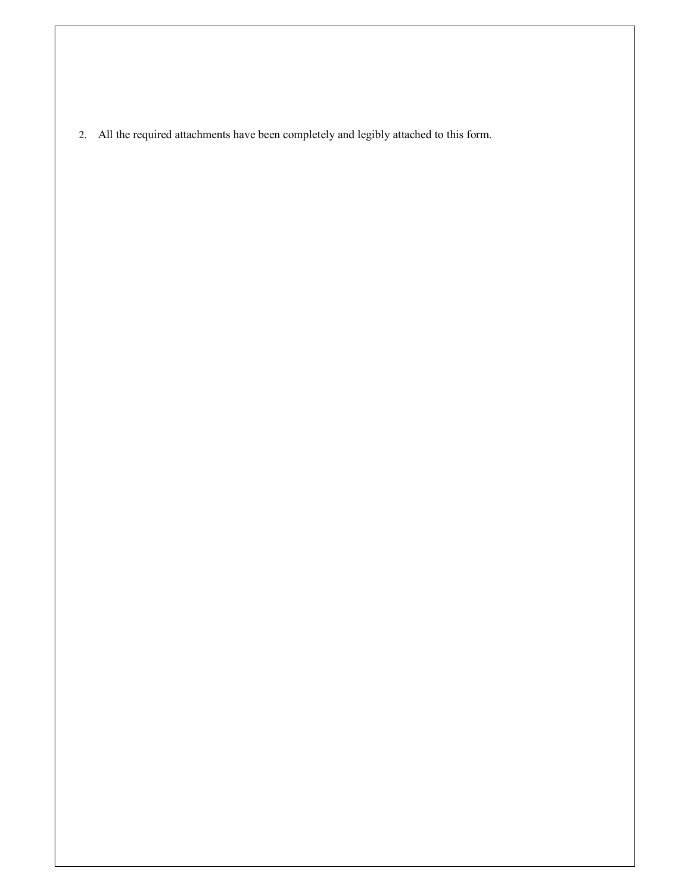2. All the required attachments have been completely and legibly attached to this form.